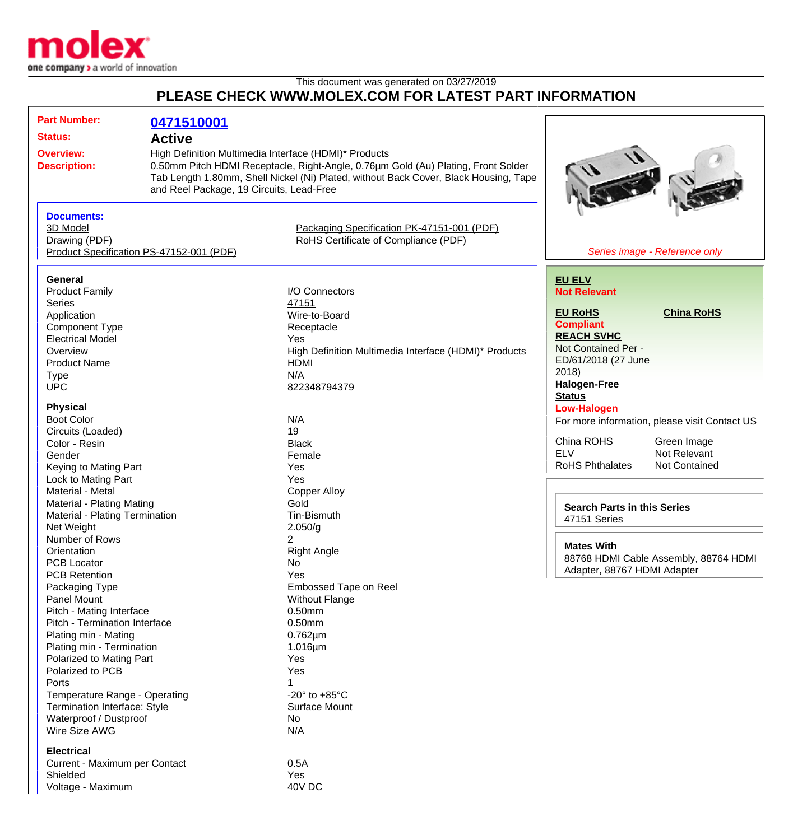

Voltage - Maximum 40V DC

## This document was generated on 03/27/2019 **PLEASE CHECK WWW.MOLEX.COM FOR LATEST PART INFORMATION**

| <b>Part Number:</b>                                                                                                                                                                                                                                                                                                                                                        | 0471510001                                                                                                                                                                                                                                                                     |                                                                                                                                                                                                                     |                                                                                                                                                                                                                                                                       |
|----------------------------------------------------------------------------------------------------------------------------------------------------------------------------------------------------------------------------------------------------------------------------------------------------------------------------------------------------------------------------|--------------------------------------------------------------------------------------------------------------------------------------------------------------------------------------------------------------------------------------------------------------------------------|---------------------------------------------------------------------------------------------------------------------------------------------------------------------------------------------------------------------|-----------------------------------------------------------------------------------------------------------------------------------------------------------------------------------------------------------------------------------------------------------------------|
| <b>Status:</b>                                                                                                                                                                                                                                                                                                                                                             | <b>Active</b>                                                                                                                                                                                                                                                                  |                                                                                                                                                                                                                     |                                                                                                                                                                                                                                                                       |
| <b>Overview:</b><br><b>Description:</b>                                                                                                                                                                                                                                                                                                                                    | High Definition Multimedia Interface (HDMI)* Products<br>0.50mm Pitch HDMI Receptacle, Right-Angle, 0.76µm Gold (Au) Plating, Front Solder<br>Tab Length 1.80mm, Shell Nickel (Ni) Plated, without Back Cover, Black Housing, Tape<br>and Reel Package, 19 Circuits, Lead-Free |                                                                                                                                                                                                                     |                                                                                                                                                                                                                                                                       |
| <b>Documents:</b><br>3D Model<br>Drawing (PDF)                                                                                                                                                                                                                                                                                                                             | Product Specification PS-47152-001 (PDF)                                                                                                                                                                                                                                       | Packaging Specification PK-47151-001 (PDF)<br>RoHS Certificate of Compliance (PDF)                                                                                                                                  | Series image - Reference only                                                                                                                                                                                                                                         |
| General<br><b>Product Family</b><br><b>Series</b><br>Application<br><b>Component Type</b><br><b>Electrical Model</b><br>Overview<br><b>Product Name</b><br><b>Type</b><br><b>UPC</b>                                                                                                                                                                                       |                                                                                                                                                                                                                                                                                | I/O Connectors<br>47151<br>Wire-to-Board<br>Receptacle<br>Yes<br>High Definition Multimedia Interface (HDMI)* Products<br><b>HDMI</b><br>N/A<br>822348794379                                                        | <b>EU ELV</b><br><b>Not Relevant</b><br><b>EU RoHS</b><br><b>China RoHS</b><br><b>Compliant</b><br><b>REACH SVHC</b><br>Not Contained Per -<br>ED/61/2018 (27 June<br>2018<br><b>Halogen-Free</b>                                                                     |
| <b>Physical</b><br><b>Boot Color</b><br>Circuits (Loaded)<br>Color - Resin<br>Gender<br>Keying to Mating Part<br>Lock to Mating Part<br>Material - Metal<br>Material - Plating Mating<br>Material - Plating Termination<br>Net Weight<br>Number of Rows                                                                                                                    | $\overline{2}$                                                                                                                                                                                                                                                                 | N/A<br>19<br><b>Black</b><br>Female<br>Yes<br>Yes<br><b>Copper Alloy</b><br>Gold<br><b>Tin-Bismuth</b><br>2.050/g                                                                                                   | <b>Status</b><br><b>Low-Halogen</b><br>For more information, please visit Contact US<br>China ROHS<br>Green Image<br><b>ELV</b><br>Not Relevant<br><b>RoHS Phthalates</b><br>Not Contained<br><b>Search Parts in this Series</b><br>47151 Series<br><b>Mates With</b> |
| Orientation<br>PCB Locator<br><b>PCB Retention</b><br>Packaging Type<br>Panel Mount<br>Pitch - Mating Interface<br>Pitch - Termination Interface<br>Plating min - Mating<br>Plating min - Termination<br>Polarized to Mating Part<br>Polarized to PCB<br>Ports<br>Temperature Range - Operating<br>Termination Interface: Style<br>Waterproof / Dustproof<br>Wire Size AWG |                                                                                                                                                                                                                                                                                | <b>Right Angle</b><br>No<br>Yes<br>Embossed Tape on Reel<br><b>Without Flange</b><br>0.50mm<br>0.50mm<br>$0.762 \mu m$<br>$1.016 \mu m$<br>Yes<br>Yes<br>$-20^\circ$ to $+85^\circ$ C<br>Surface Mount<br>No<br>N/A | 88768 HDMI Cable Assembly, 88764 HDMI<br>Adapter, 88767 HDMI Adapter                                                                                                                                                                                                  |
| <b>Electrical</b><br>Current - Maximum per Contact<br>Shielded                                                                                                                                                                                                                                                                                                             |                                                                                                                                                                                                                                                                                | 0.5A<br>Yes                                                                                                                                                                                                         |                                                                                                                                                                                                                                                                       |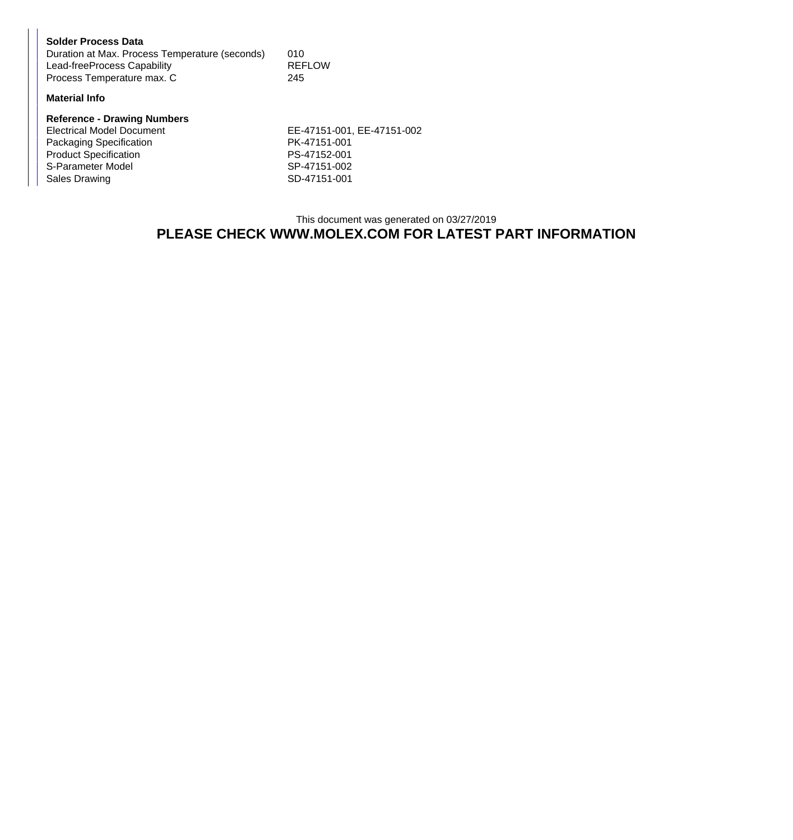|  | Solder Process Data |  |
|--|---------------------|--|
|--|---------------------|--|

| Duration at Max. Process Temperature (seconds) | 010           |
|------------------------------------------------|---------------|
| Lead-freeProcess Capability                    | <b>REFLOW</b> |
| Process Temperature max. C                     | 245           |

## **Material Info**

## **Reference - Drawing Numbers**

| <b>Electrical Model Document</b> | EE-47151-001. EE-47151-002 |
|----------------------------------|----------------------------|
| Packaging Specification          | PK-47151-001               |
| <b>Product Specification</b>     | PS-47152-001               |
| S-Parameter Model                | SP-47151-002               |
| Sales Drawing                    | SD-47151-001               |

This document was generated on 03/27/2019 **PLEASE CHECK WWW.MOLEX.COM FOR LATEST PART INFORMATION**